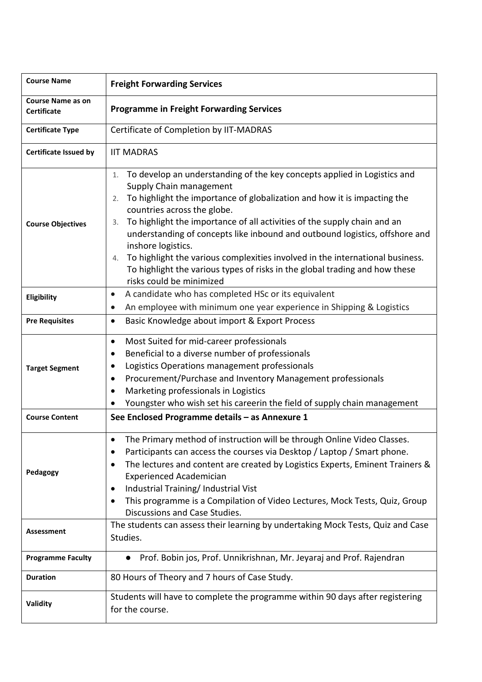| <b>Course Name</b>                             | <b>Freight Forwarding Services</b>                                                                                                                                                                                                                                                                                                                                                                                                                                                                                                                                                                                  |  |  |  |
|------------------------------------------------|---------------------------------------------------------------------------------------------------------------------------------------------------------------------------------------------------------------------------------------------------------------------------------------------------------------------------------------------------------------------------------------------------------------------------------------------------------------------------------------------------------------------------------------------------------------------------------------------------------------------|--|--|--|
| <b>Course Name as on</b><br><b>Certificate</b> | <b>Programme in Freight Forwarding Services</b>                                                                                                                                                                                                                                                                                                                                                                                                                                                                                                                                                                     |  |  |  |
| <b>Certificate Type</b>                        | Certificate of Completion by IIT-MADRAS                                                                                                                                                                                                                                                                                                                                                                                                                                                                                                                                                                             |  |  |  |
| <b>Certificate Issued by</b>                   | <b>IIT MADRAS</b>                                                                                                                                                                                                                                                                                                                                                                                                                                                                                                                                                                                                   |  |  |  |
| <b>Course Objectives</b>                       | To develop an understanding of the key concepts applied in Logistics and<br>1.<br>Supply Chain management<br>To highlight the importance of globalization and how it is impacting the<br>2.<br>countries across the globe.<br>To highlight the importance of all activities of the supply chain and an<br>3.<br>understanding of concepts like inbound and outbound logistics, offshore and<br>inshore logistics.<br>To highlight the various complexities involved in the international business.<br>4.<br>To highlight the various types of risks in the global trading and how these<br>risks could be minimized |  |  |  |
| Eligibility                                    | A candidate who has completed HSc or its equivalent<br>$\bullet$<br>An employee with minimum one year experience in Shipping & Logistics<br>$\bullet$                                                                                                                                                                                                                                                                                                                                                                                                                                                               |  |  |  |
| <b>Pre Requisites</b>                          | Basic Knowledge about import & Export Process<br>$\bullet$                                                                                                                                                                                                                                                                                                                                                                                                                                                                                                                                                          |  |  |  |
| <b>Target Segment</b>                          | Most Suited for mid-career professionals<br>$\bullet$<br>Beneficial to a diverse number of professionals<br>٠<br>Logistics Operations management professionals<br>$\bullet$<br>Procurement/Purchase and Inventory Management professionals<br>$\bullet$<br>Marketing professionals in Logistics<br>$\bullet$<br>Youngster who wish set his careerin the field of supply chain management                                                                                                                                                                                                                            |  |  |  |
| <b>Course Content</b>                          | See Enclosed Programme details - as Annexure 1                                                                                                                                                                                                                                                                                                                                                                                                                                                                                                                                                                      |  |  |  |
| Pedagogy                                       | The Primary method of instruction will be through Online Video Classes.<br>Participants can access the courses via Desktop / Laptop / Smart phone.<br>The lectures and content are created by Logistics Experts, Eminent Trainers &<br><b>Experienced Academician</b><br>Industrial Training/ Industrial Vist<br>$\bullet$<br>This programme is a Compilation of Video Lectures, Mock Tests, Quiz, Group<br>$\bullet$<br>Discussions and Case Studies.                                                                                                                                                              |  |  |  |
| <b>Assessment</b>                              | The students can assess their learning by undertaking Mock Tests, Quiz and Case<br>Studies.                                                                                                                                                                                                                                                                                                                                                                                                                                                                                                                         |  |  |  |
| <b>Programme Faculty</b>                       | Prof. Bobin jos, Prof. Unnikrishnan, Mr. Jeyaraj and Prof. Rajendran<br>$\bullet$                                                                                                                                                                                                                                                                                                                                                                                                                                                                                                                                   |  |  |  |
| <b>Duration</b>                                | 80 Hours of Theory and 7 hours of Case Study.                                                                                                                                                                                                                                                                                                                                                                                                                                                                                                                                                                       |  |  |  |
| Validity                                       | Students will have to complete the programme within 90 days after registering<br>for the course.                                                                                                                                                                                                                                                                                                                                                                                                                                                                                                                    |  |  |  |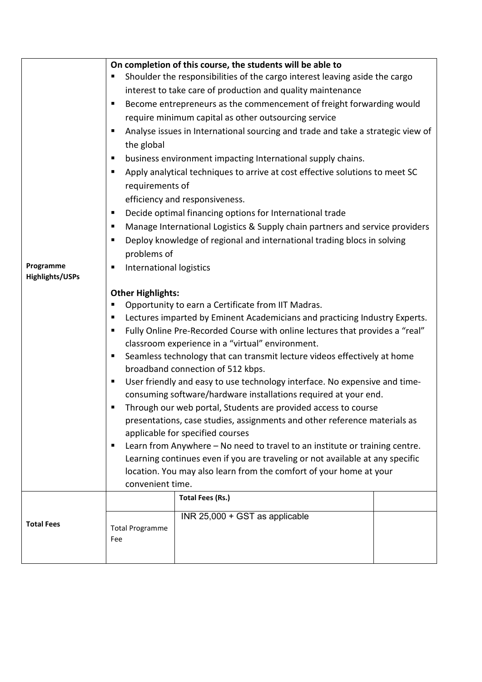|                              | On completion of this course, the students will be able to<br>Shoulder the responsibilities of the cargo interest leaving aside the cargo<br>ш<br>interest to take care of production and quality maintenance<br>Become entrepreneurs as the commencement of freight forwarding would<br>п<br>require minimum capital as other outsourcing service<br>Analyse issues in International sourcing and trade and take a strategic view of<br>٠<br>the global<br>business environment impacting International supply chains.<br>п<br>Apply analytical techniques to arrive at cost effective solutions to meet SC<br>٠<br>requirements of<br>efficiency and responsiveness.<br>Decide optimal financing options for International trade<br>п<br>Manage International Logistics & Supply chain partners and service providers<br>п<br>Deploy knowledge of regional and international trading blocs in solving<br>٠                                                                                                                                       |                                                           |  |  |  |
|------------------------------|----------------------------------------------------------------------------------------------------------------------------------------------------------------------------------------------------------------------------------------------------------------------------------------------------------------------------------------------------------------------------------------------------------------------------------------------------------------------------------------------------------------------------------------------------------------------------------------------------------------------------------------------------------------------------------------------------------------------------------------------------------------------------------------------------------------------------------------------------------------------------------------------------------------------------------------------------------------------------------------------------------------------------------------------------|-----------------------------------------------------------|--|--|--|
| Programme<br>Highlights/USPs | п                                                                                                                                                                                                                                                                                                                                                                                                                                                                                                                                                                                                                                                                                                                                                                                                                                                                                                                                                                                                                                                  | problems of<br>International logistics                    |  |  |  |
|                              | <b>Other Highlights:</b><br>Opportunity to earn a Certificate from IIT Madras.<br>п<br>Lectures imparted by Eminent Academicians and practicing Industry Experts.<br>п<br>Fully Online Pre-Recorded Course with online lectures that provides a "real"<br>ш<br>classroom experience in a "virtual" environment.<br>Seamless technology that can transmit lecture videos effectively at home<br>ш<br>broadband connection of 512 kbps.<br>User friendly and easy to use technology interface. No expensive and time-<br>п<br>consuming software/hardware installations required at your end.<br>Through our web portal, Students are provided access to course<br>٠<br>presentations, case studies, assignments and other reference materials as<br>applicable for specified courses<br>Learn from Anywhere - No need to travel to an institute or training centre.<br>п<br>Learning continues even if you are traveling or not available at any specific<br>location. You may also learn from the comfort of your home at your<br>convenient time. |                                                           |  |  |  |
| <b>Total Fees</b>            | <b>Total Programme</b><br>Fee                                                                                                                                                                                                                                                                                                                                                                                                                                                                                                                                                                                                                                                                                                                                                                                                                                                                                                                                                                                                                      | <b>Total Fees (Rs.)</b><br>INR 25,000 + GST as applicable |  |  |  |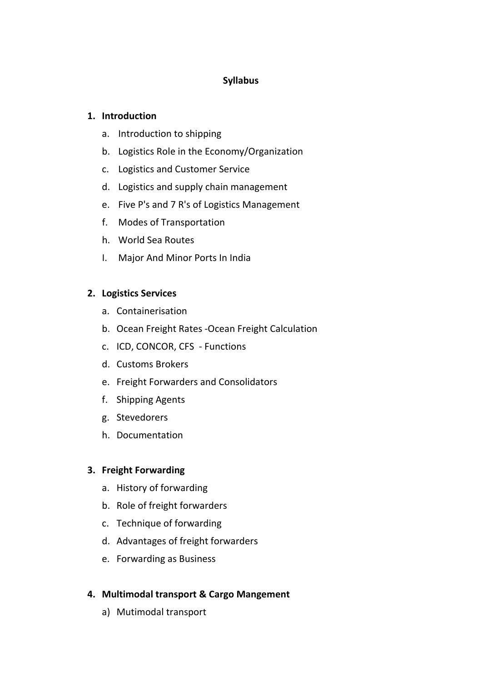## **Syllabus**

## **1. Introduction**

- a. Introduction to shipping
- b. Logistics Role in the Economy/Organization
- c. Logistics and Customer Service
- d. Logistics and supply chain management
- e. Five P's and 7 R's of Logistics Management
- f. Modes of Transportation
- h. World Sea Routes
- I. Major And Minor Ports In India

# **2. Logistics Services**

- a. Containerisation
- b. Ocean Freight Rates -Ocean Freight Calculation
- c. ICD, CONCOR, CFS Functions
- d. Customs Brokers
- e. Freight Forwarders and Consolidators
- f. Shipping Agents
- g. Stevedorers
- h. Documentation

### **3. Freight Forwarding**

- a. History of forwarding
- b. Role of freight forwarders
- c. Technique of forwarding
- d. Advantages of freight forwarders
- e. Forwarding as Business

# **4. Multimodal transport & Cargo Mangement**

a) Mutimodal transport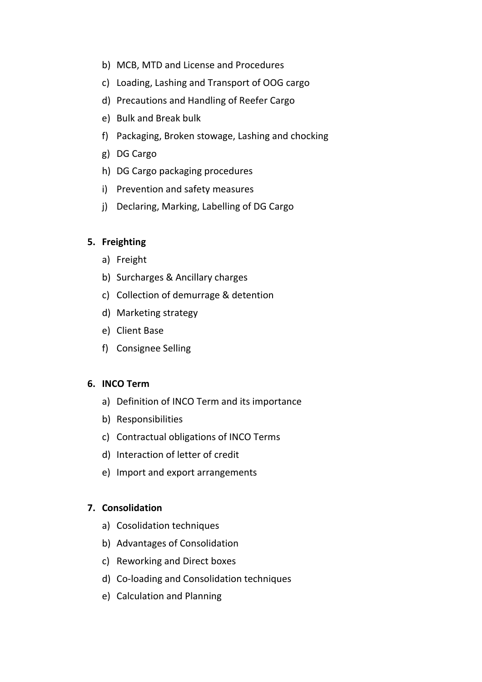- b) MCB, MTD and License and Procedures
- c) Loading, Lashing and Transport of OOG cargo
- d) Precautions and Handling of Reefer Cargo
- e) Bulk and Break bulk
- f) Packaging, Broken stowage, Lashing and chocking
- g) DG Cargo
- h) DG Cargo packaging procedures
- i) Prevention and safety measures
- j) Declaring, Marking, Labelling of DG Cargo

### **5. Freighting**

- a) Freight
- b) Surcharges & Ancillary charges
- c) Collection of demurrage & detention
- d) Marketing strategy
- e) Client Base
- f) Consignee Selling

#### **6. INCO Term**

- a) Definition of INCO Term and its importance
- b) Responsibilities
- c) Contractual obligations of INCO Terms
- d) Interaction of letter of credit
- e) Import and export arrangements

#### **7. Consolidation**

- a) Cosolidation techniques
- b) Advantages of Consolidation
- c) Reworking and Direct boxes
- d) Co-loading and Consolidation techniques
- e) Calculation and Planning